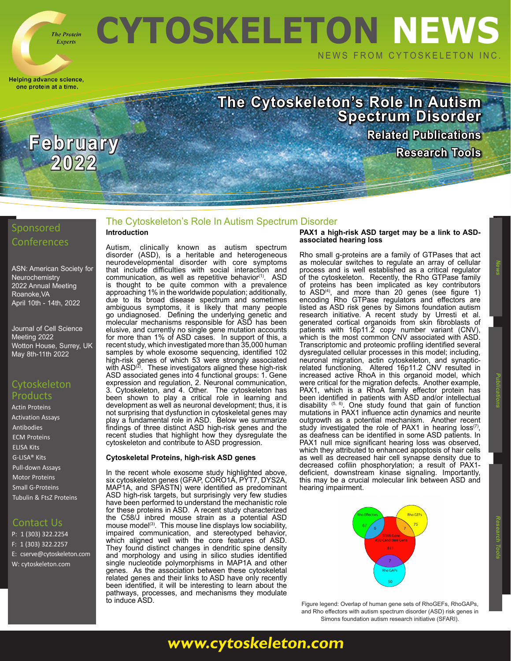

**Experts** 

**2022**

Helping advance science, one protein at a time.

# **CYTOSKELETON NEWS** NEWS FROM CYTOSKELETON INC.

**The Cytoskeleton's Role In Autism Spectrum Disorder [Related Publications](https://www.cytoskeleton.com/blog/) February** Research Tools

# Sponsored

[ASN:](https://www.ascb.org/cellbio2021/) American Society for **Neurochemistry** 2022 Annual Meeting Roanoke,VA April 10th - 14th, 2022

[Journal of Cell Science](https://www.biologists.com/meetings/celldynamics2022/)  [Meeting 2022](https://www.biologists.com/meetings/celldynamics2022/) [Wotton House, Surrey, UK](https://www.biologists.com/meetings/celldynamics2022/) [May 8th-11th 2022](https://www.biologists.com/meetings/celldynamics2022/)

# **Cytoskeleton** Products

[Actin Proteins](https://www.cytoskeleton.com/actin-resources) [Activation Assays](http://www.cytoskeleton.com/BK038) [Antibodies](https://www.cytoskeleton.com/antibodies) [ECM Proteins](https://www.cytoskeleton.com/ecm) [ELISA Kits](https://www.cytoskeleton.com/bk150) [G-LISA® Kits](https://www.cytoskeleton.com/kits/glisa-assays) [Pull-down Assays](https://www.cytoskeleton.com/kits/pulldown-assays) [Motor Proteins](https://www.cytoskeleton.com/motor-proteins) [Small G-Proteins](https://www.cytoskeleton.com/small-g-proteins) [Tubulin & FtsZ Proteins](https://www.cytoskeleton.com/tubulins)

# Contact Us

P: 1 (303) 322.2254 F: 1 (303) 322.2257 E: [cserve@cytoskeleton.com](mailto:cserve%40cytoskeleton.com?subject=Newsletter%20Email) W: [cytoskeleton.com](http://cytoskeleton.com)

### The Cytoskeleton's Role In Autism Spectrum Disorder **vIntroduction**

Autism, clinically known as autism spectrum disorder (ASD), is a heritable and heterogeneous neurodevelopmental disorder with core symptoms that include difficulties with social interaction and communication, as well as repetitive behavior<sup>(1)</sup>. ASD is thought to be quite common with a prevalence approaching 1% in the worldwide population; additionally, due to its broad disease spectrum and sometimes ambiguous symptoms, it is likely that many people go undiagnosed. Defining the underlying genetic and molecular mechanisms responsible for ASD has been elusive, and currently no single gene mutation accounts for more than 1% of ASD cases. In support of this, a recent study, which investigated more than 35,000 human samples by whole exosome sequencing, identified 102 high-risk genes of which 53 were strongly associated with ASD $^{(2)}$ . These investigators aligned these high-risk ASD associated genes into 4 functional groups: 1. Gene expression and regulation, 2. Neuronal communication, 3. Cytoskeleton, and 4. Other. The cytoskeleton has been shown to play a critical role in learning and development as well as neuronal development; thus, it is not surprising that dysfunction in cytoskeletal genes may play a fundamental role in ASD. Below we summarize findings of three distinct ASD high-risk genes and the recent studies that highlight how they dysregulate the cytoskeleton and contribute to ASD progression.

## **Cytoskeletal Proteins, high-risk ASD genes**

In the recent whole exosome study highlighted above, six cytoskeleton genes (GFAP, CORO1A, PYT7, DYS2A, MAP1A, and SPASTN) were identified as predominant ASD high-risk targets, but surprisingly very few studies have been performed to understand the mechanistic role for these proteins in ASD. A recent study characterized the C58/J inbred mouse strain as a potential ASD mouse model<sup>(3)</sup>. This mouse line displays low sociability, impaired communication, and stereotyped behavior, which aligned well with the core features of ASD. They found distinct changes in dendritic spine density and morphology and using in silico studies identified single nucleotide polymorphisms in MAP1A and other genes. As the association between these cytoskeletal related genes and their links to ASD have only recently been identified, it will be interesting to learn about the pathways, processes, and mechanisms they modulate to induce ASD.

#### **PAX1 a high-risk ASD target may be a link to ASDassociated hearing loss**

Rho small g-proteins are a family of GTPases that act as molecular switches to regulate an array of cellular process and is well established as a critical regulator of the cytoskeleton. Recently, the Rho GTPase family of proteins has been implicated as key contributors to ASD<sup>(4)</sup>, and more than 20 genes (see figure 1) encoding Rho GTPase regulators and effectors are listed as ASD risk genes by Simons foundation autism research initiative. A recent study by Urresti et al. generated cortical organoids from skin fibroblasts of patients with 16p11.2 copy number variant (CNV), which is the most common CNV associated with ASD. Transcriptomic and proteomic profiling identified several dysregulated cellular processes in this model; including, neuronal migration, actin cytoskeleton, and synapticrelated functioning. Altered 16p11.2 CNV resulted in increased active RhoA in this organoid model, which were critical for the migration defects. Another example, PAX1, which is a RhoA family effector protein has been identified in patients with ASD and/or intellectual disability (5, 6). One study found that gain of function mutations in PAX1 influence actin dynamics and neurite outgrowth as a potential mechanism. Another recent study investigated the role of PAX1 in hearing loss<sup>(7)</sup>, study investigated the role of Partician in ASD patients. In PAX1 null mice significant hearing loss was observed, which they attributed to enhanced apoptosis of hair cells as well as decreased hair cell synapse density due to decreased cofilin phosphorylation; a result of PAX1 deficient, downstream kinase signaling. Importantly, this may be a crucial molecular link between ASD and hearing impairment.



Figure legend: Overlap of human gene sets of RhoGEFs, RhoGAPs, and Rho effectors with autism spectrum disorder (ASD) risk genes in Simons foundation autism research initiative (SFARI).

 **News Publications**

**[www.cytoskeleton.com](http://www.cytoskeleton.com)**